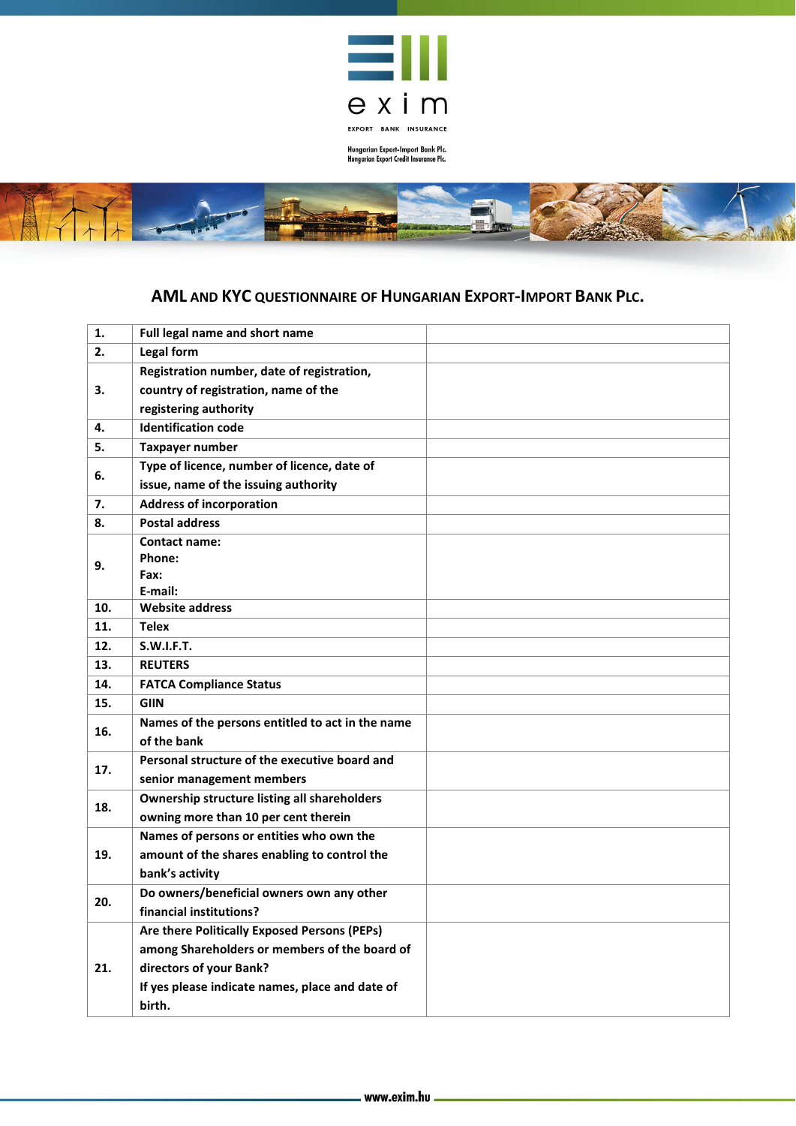

Hungarian Export-Import Bank Plc.<br>Hungarian Export Credit Insurance Plc.



## **AML AND KYC QUESTIONNAIRE OF HUNGARIAN EXPORT-IMPORT BANK PLC.**

| 1.  | Full legal name and short name                      |  |
|-----|-----------------------------------------------------|--|
| 2.  | <b>Legal form</b>                                   |  |
| З.  | Registration number, date of registration,          |  |
|     | country of registration, name of the                |  |
|     | registering authority                               |  |
| 4.  | <b>Identification code</b>                          |  |
| 5.  | <b>Taxpayer number</b>                              |  |
| 6.  | Type of licence, number of licence, date of         |  |
|     | issue, name of the issuing authority                |  |
| 7.  | <b>Address of incorporation</b>                     |  |
| 8.  | <b>Postal address</b>                               |  |
|     | <b>Contact name:</b>                                |  |
| 9.  | Phone:                                              |  |
|     | Fax:<br>E-mail:                                     |  |
| 10. | <b>Website address</b>                              |  |
| 11. | <b>Telex</b>                                        |  |
| 12. | <b>S.W.I.F.T.</b>                                   |  |
| 13. | <b>REUTERS</b>                                      |  |
| 14. | <b>FATCA Compliance Status</b>                      |  |
| 15. | <b>GIIN</b>                                         |  |
|     | Names of the persons entitled to act in the name    |  |
| 16. | of the bank                                         |  |
|     | Personal structure of the executive board and       |  |
| 17. | senior management members                           |  |
|     | <b>Ownership structure listing all shareholders</b> |  |
| 18. | owning more than 10 per cent therein                |  |
|     | Names of persons or entities who own the            |  |
| 19. | amount of the shares enabling to control the        |  |
|     | bank's activity                                     |  |
| 20. | Do owners/beneficial owners own any other           |  |
|     | financial institutions?                             |  |
| 21. | Are there Politically Exposed Persons (PEPs)        |  |
|     | among Shareholders or members of the board of       |  |
|     | directors of your Bank?                             |  |
|     | If yes please indicate names, place and date of     |  |
|     | birth.                                              |  |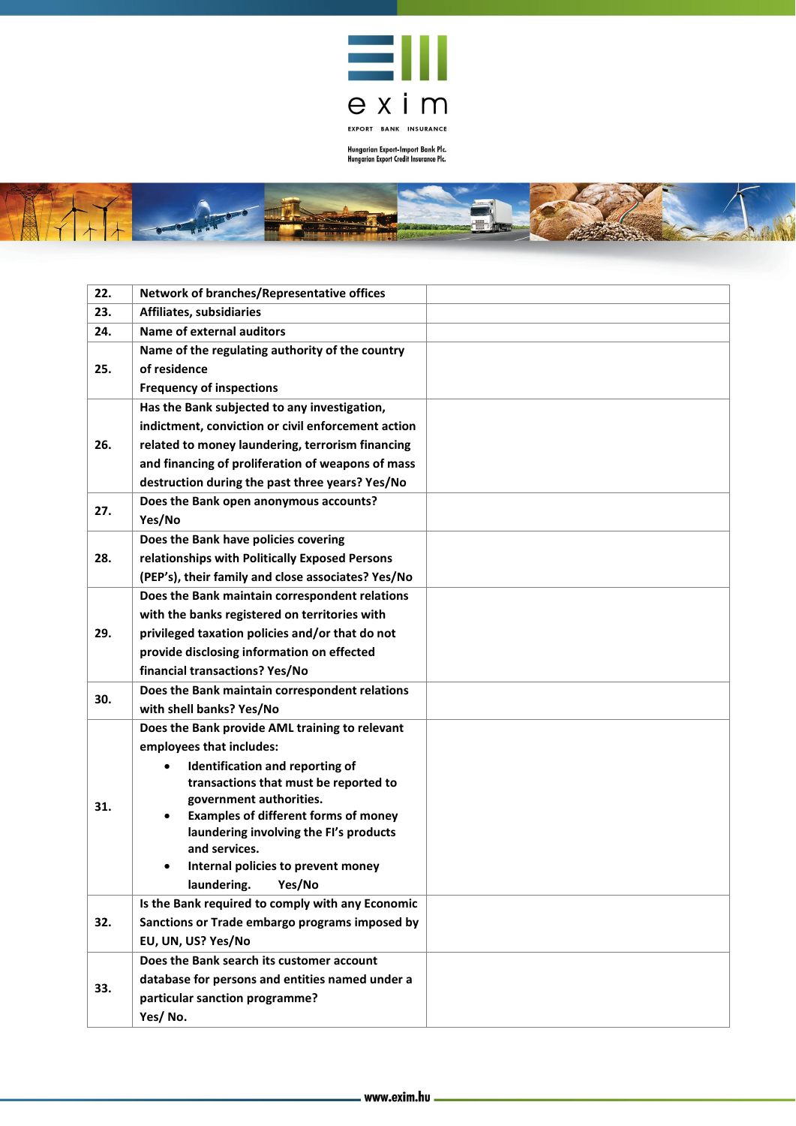

- 1

Hungarian Export-Import Bank Plc.<br>Hungarian Export Credit Insurance Plc.



| 22. | Network of branches/Representative offices                       |
|-----|------------------------------------------------------------------|
| 23. | Affiliates, subsidiaries                                         |
| 24. | <b>Name of external auditors</b>                                 |
|     | Name of the regulating authority of the country                  |
| 25. | of residence                                                     |
|     | <b>Frequency of inspections</b>                                  |
| 26. | Has the Bank subjected to any investigation,                     |
|     | indictment, conviction or civil enforcement action               |
|     | related to money laundering, terrorism financing                 |
|     | and financing of proliferation of weapons of mass                |
|     | destruction during the past three years? Yes/No                  |
| 27. | Does the Bank open anonymous accounts?                           |
|     | Yes/No                                                           |
|     | Does the Bank have policies covering                             |
| 28. | relationships with Politically Exposed Persons                   |
|     | (PEP's), their family and close associates? Yes/No               |
|     | Does the Bank maintain correspondent relations                   |
|     | with the banks registered on territories with                    |
| 29. | privileged taxation policies and/or that do not                  |
|     | provide disclosing information on effected                       |
|     | financial transactions? Yes/No                                   |
| 30. | Does the Bank maintain correspondent relations                   |
|     | with shell banks? Yes/No                                         |
|     | Does the Bank provide AML training to relevant                   |
|     | employees that includes:                                         |
|     | Identification and reporting of                                  |
|     | transactions that must be reported to<br>government authorities. |
| 31. | <b>Examples of different forms of money</b><br>$\bullet$         |
|     | laundering involving the FI's products                           |
|     | and services.                                                    |
|     | Internal policies to prevent money                               |
|     | laundering. Yes/No                                               |
|     | Is the Bank required to comply with any Economic                 |
| 32. | Sanctions or Trade embargo programs imposed by                   |
|     | EU, UN, US? Yes/No                                               |
| 33. | Does the Bank search its customer account                        |
|     | database for persons and entities named under a                  |
|     | particular sanction programme?                                   |
|     | Yes/No.                                                          |